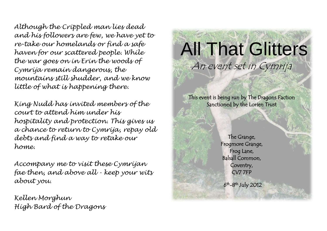*Although the Crippled man lies dead and his followers are few, we have yet to re-take our homelands or find a safe haven for our scattered people. While the war goes on in Erin the woods of Cymrija remain dangerous, the mountains still shudder, and we know little of what is happening there.*

*King Nudd has invited members of the court to attend him under his hospitality and protection. This gives us a chance to return to Cymrija, repay old debts and find a way to retake our home.*

*Accompany me to visit these Cymrijan fae then, and above all - keep your wits about you.* 

*Kellen Morghun High Bard of the Dragons*

# All That Glitters An event set in Cymrija

This event is being run by The Dragons Faction Sanctioned by the Lorien Trust

í

The Grange, Frogmore Grange, Frog Lane, Balsall Common, Coventry, CV7 7FP

 $6<sup>th</sup> - 8<sup>th</sup>$  July 2012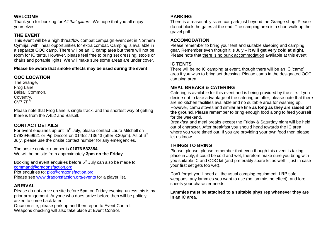#### **WELCOME**

Thank you for booking for *All that glitters*. We hope that you all enjoy yourselves.

## **THE EVENT**

This event will be a high threat/low combat campaign event set in Northern Cymrija, with linear opportunities for extra combat. Camping is available in a separate OOC camp. There will be an IC camp area but there will not be room for IC tents. However, please feel free to bring set dressing, stools or chairs and portable lights. We will make sure some areas are under cover.

#### **Please be aware that smoke effects may be used during the event**

# **OOC LOCATION**

The Grange, Frog Lane, Balsall Common, Coventry, CV7 7FP

Please note that Frog Lane is single track, and the shortest way of getting there is from the A452 and Balsall.

# **CONTACT DETAILS**

For event enquiries up until 5<sup>th</sup> July, please contact Laura Mitchell on 07939469921 or Pip Driscoll on 01452 713643 (after 8:30pm). As of  $6^{\text{th}}$ July, please use the onsite contact number for any emergencies*.*

The onsite contact number is **01676 532384** We will be on site from approximately **3pm on the Friday**.

Booking and event enquiries before 5<sup>th</sup> July can also be made to [command@dragonsfaction.org](mailto:command@dragonsfaction.org) Plot enquiries to: [plot@dragonsfaction.org](mailto:plot@dragonsfaction.org)

Please see www.dragonsfaction.org/events for a player list.

## **ARRIVAL**

Please do not arrive on site before 5pm on Friday evening unless this is by prior arrangement. Anyone who does arrive before then will be politely asked to come back later.

Once on site, please park up and then report to Event Control. Weapons checking will also take place at Event Control.

#### **PARKING**

There is a reasonably sized car park just beyond the Grange shop. Please do not block the gates at the end. The camping area is a short walk up the gravel path.

## **ACCOMODATION**

Please remember to bring your tent and suitable sleeping and camping gear. Remember even though it is July – **it will get very cold at night.** Please note that there is no bunk accommodation available at this event.

## **IC TENTS**

There will be no IC camping at event, though there will be an IC 'camp' area if you wish to bring set dressing. Please camp in the designated OOC camping area.

# **MEAL BREAKS & CATERING**

Catering is available for this event and is being provided by the site. If you decide not to take advantage of the catering on offer, please note that there are no kitchen facilities available and no suitable area for washing up. However, camp stoves and similar are fine **as long as they are raised off the ground**. Please remember to bring enough food along to feed yourself for the weekend.

Breakfast and meal breaks except the Friday & Saturday night will be held out of character. After breakfast you should head towards the IC area where you were timed out. If you are providing your own food then please let us know.

## **THINGS TO BRING**

Please, please, please remember that even though this event is taking place in July, it could be cold and wet, therefore make sure you bring with you suitable IC and OOC kit (and preferably spare kit as well – just in case your first set gets too wet).

Don't forget you'll need all the usual camping equipment, LRP safe weapons, any lammies you want to use (no lammie, no effect), and lore sheets your character needs.

#### **Lammies must be attached to a suitable phys rep whenever they are in an IC area.**